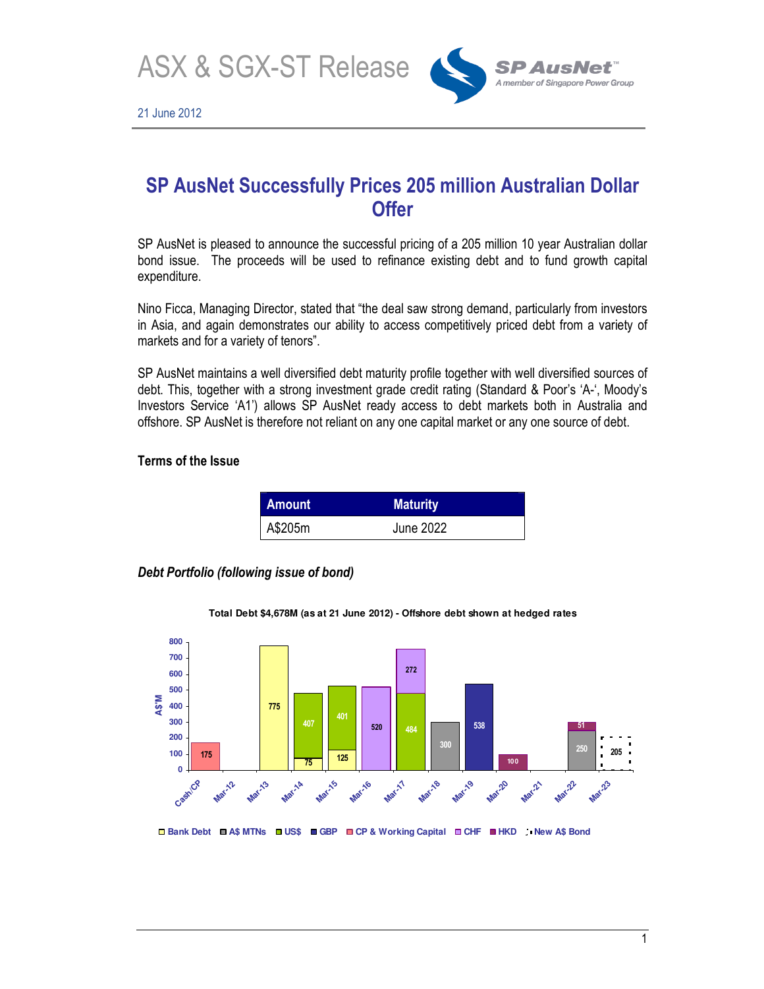ASX & SGX-ST Release



# **SP AusNet Successfully Prices 205 million Australian Dollar Offer**

SP AusNet is pleased to announce the successful pricing of a 205 million 10 year Australian dollar bond issue. The proceeds will be used to refinance existing debt and to fund growth capital expenditure.

Nino Ficca, Managing Director, stated that "the deal saw strong demand, particularly from investors in Asia, and again demonstrates our ability to access competitively priced debt from a variety of markets and for a variety of tenors".

SP AusNet maintains a well diversified debt maturity profile together with well diversified sources of debt. This, together with a strong investment grade credit rating (Standard & Poor's 'A-', Moody's Investors Service 'A1') allows SP AusNet ready access to debt markets both in Australia and offshore. SP AusNet is therefore not reliant on any one capital market or any one source of debt.

## **Terms of the Issue**

| Amount  | <b>Maturity</b> |
|---------|-----------------|
| A\$205m | June 2022       |

*Debt Portfolio (following issue of bond)* 



**Total Debt \$4,678M (as at 21 June 2012) - Offshore debt shown at hedged rates**

**Bank Debt A\$ MTNs US\$ GBP CP & Working Capital CHF HKD New A\$ Bond**